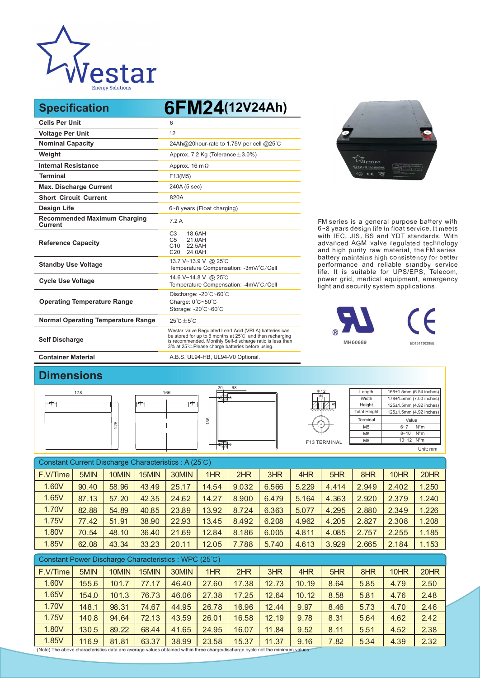

**Specification 6FM24(12V24Ah)**

| <b>Cells Per Unit</b>                                 | 6                                                                                                                                                                                                                                   |
|-------------------------------------------------------|-------------------------------------------------------------------------------------------------------------------------------------------------------------------------------------------------------------------------------------|
| <b>Voltage Per Unit</b>                               | 12                                                                                                                                                                                                                                  |
| <b>Nominal Capacity</b>                               | 24Ah@20hour-rate to 1.75V per cell @25°C                                                                                                                                                                                            |
| Weight                                                | Approx. 7.2 Kg (Tolerance $\pm$ 3.0%)                                                                                                                                                                                               |
| <b>Internal Resistance</b>                            | Approx. $16 \text{ m}\Omega$                                                                                                                                                                                                        |
| <b>Terminal</b>                                       | F13(M5)                                                                                                                                                                                                                             |
| <b>Max. Discharge Current</b>                         | 240A (5 sec)                                                                                                                                                                                                                        |
| <b>Short Circuit Current</b>                          | 820A                                                                                                                                                                                                                                |
| <b>Design Life</b>                                    | 6~8 years (Float charging)                                                                                                                                                                                                          |
| <b>Recommended Maximum Charging</b><br><b>Current</b> | 7.2A                                                                                                                                                                                                                                |
| <b>Reference Capacity</b>                             | C <sub>3</sub><br>18.6AH<br>C <sub>5</sub><br>21.0AH<br>C <sub>10</sub><br>22.5AH<br>C <sub>20</sub><br>24.0AH                                                                                                                      |
| <b>Standby Use Voltage</b>                            | 13.7 V~13.9 V @ 25°C<br>Temperature Compensation: -3mV/°C/Cell                                                                                                                                                                      |
| <b>Cycle Use Voltage</b>                              | 14.6 V~14.8 V @ 25°C<br>Temperature Compensation: -4mV/°C/Cell                                                                                                                                                                      |
| <b>Operating Temperature Range</b>                    | Discharge: -20°C~60°C<br>Charge: $0^{\circ}$ C $\sim$ 50 $^{\circ}$ C<br>Storage: -20°C~60°C                                                                                                                                        |
| <b>Normal Operating Temperature Range</b>             | $25^{\circ}$ C + 5 $^{\circ}$ C                                                                                                                                                                                                     |
| <b>Self Discharge</b>                                 | Westar valve Regulated Lead Acid (VRLA) batteries can<br>be stored for up to 6 months at 25°C and then recharging<br>is recommended. Monthly Self-discharge ratio is less than<br>3% at 25°C. Please charge batteries before using. |
| <b>Container Material</b>                             | A.B.S. UL94-HB, UL94-V0 Optional.                                                                                                                                                                                                   |



FM series is a general purpose battery with 6~8 years design life in float service. It meets with IEC, JIS, BS and YDT standards. With advanced AGM valve regulated technology and high purity raw material, the FM series battery maintains high consistency for better performance and reliable standby service life. It is suitable for UPS/EPS, Telecom, power grid, medical equipment, emergency light and security system applications.



## **Dimensions**



| Constant Current Discharge Characteristics: A (25°C) |       |       |       |       |       |       |       |       |       |       |       |       |
|------------------------------------------------------|-------|-------|-------|-------|-------|-------|-------|-------|-------|-------|-------|-------|
| F.V/Time                                             | 5MIN  | 10MIN | 15MIN | 30MIN | 1HR   | 2HR   | 3HR   | 4HR   | 5HR   | 8HR   | 10HR  | 20HR  |
| 1.60V                                                | 90.40 | 58.96 | 43.49 | 25.17 | 14.54 | 9.032 | 6.566 | 5.229 | 4.414 | 2.949 | 2.402 | 1.250 |
| 1.65V                                                | 87.13 | 57.20 | 42.35 | 24.62 | 14.27 | 8.900 | 6.479 | 5.164 | 4.363 | 2.920 | 2.379 | 1.240 |
| 1.70V                                                | 82.88 | 54.89 | 40.85 | 23.89 | 13.92 | 8.724 | 6.363 | 5.077 | 4.295 | 2.880 | 2.349 | 1.226 |
| 1.75V                                                | 77.42 | 51.91 | 38.90 | 22.93 | 13.45 | 8.492 | 6.208 | 4.962 | 4.205 | 2.827 | 2.308 | 1.208 |
| 1.80V                                                | 70.54 | 48.10 | 36.40 | 21.69 | 12.84 | 8.186 | 6.005 | 4.811 | 4.085 | 2.757 | 2.255 | 1.185 |
| 1.85V                                                | 62.08 | 43.34 | 33.23 | 20.11 | 12.05 | 7.788 | 5.740 | 4.613 | 3.929 | 2.665 | 2.184 | 1.153 |

| Constant Power Discharge Characteristics: WPC (25°C) |       |       |       |       |       |       |       |       |      |      |      |      |
|------------------------------------------------------|-------|-------|-------|-------|-------|-------|-------|-------|------|------|------|------|
| F.V/Time                                             | 5MIN  | 10MIN | 15MIN | 30MIN | 1HR   | 2HR   | 3HR   | 4HR   | 5HR  | 8HR  | 10HR | 20HR |
| 1.60V                                                | 155.6 | 101.7 | 77.17 | 46.40 | 27.60 | 17.38 | 12.73 | 10.19 | 8.64 | 5.85 | 4.79 | 2.50 |
| 1.65V                                                | 154.0 | 101.3 | 76.73 | 46.06 | 27.38 | 17.25 | 12.64 | 10.12 | 8.58 | 5.81 | 4.76 | 2.48 |
| 1.70V                                                | 148.1 | 98.31 | 74.67 | 44.95 | 26.78 | 16.96 | 12.44 | 9.97  | 8.46 | 5.73 | 4.70 | 2.46 |
| 1.75V                                                | 140.8 | 94.64 | 72.13 | 43.59 | 26.01 | 16.58 | 12.19 | 9.78  | 8.31 | 5.64 | 4.62 | 2.42 |
| 1.80V                                                | 130.5 | 89.22 | 68.44 | 41.65 | 24.95 | 16.07 | 11.84 | 9.52  | 8.11 | 5.51 | 4.52 | 2.38 |
| 1.85V                                                | 116.9 | 81.81 | 63.37 | 38.99 | 23.58 | 15.37 | 11.37 | 9.16  | 7.82 | 5.34 | 4.39 | 2.32 |

(Note) The above characteristics data are average values obtained within three charge/discharge cycle not the minimum values.